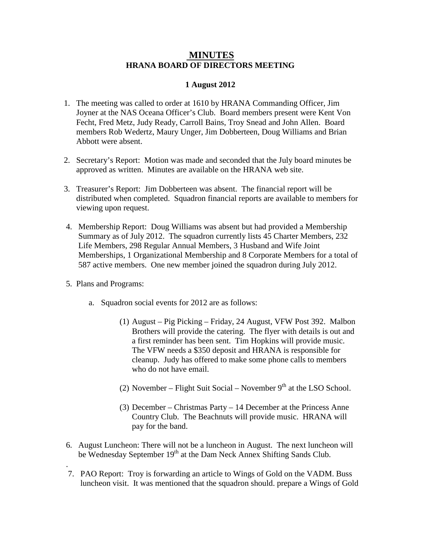## **MINUTES HRANA BOARD OF DIRECTORS MEETING**

## **1 August 2012**

- 1. The meeting was called to order at 1610 by HRANA Commanding Officer, Jim Joyner at the NAS Oceana Officer's Club. Board members present were Kent Von Fecht, Fred Metz, Judy Ready, Carroll Bains, Troy Snead and John Allen. Board members Rob Wedertz, Maury Unger, Jim Dobberteen, Doug Williams and Brian Abbott were absent.
- 2. Secretary's Report: Motion was made and seconded that the July board minutes be approved as written. Minutes are available on the HRANA web site.
- 3. Treasurer's Report: Jim Dobberteen was absent. The financial report will be distributed when completed. Squadron financial reports are available to members for viewing upon request.
- 4. Membership Report: Doug Williams was absent but had provided a Membership Summary as of July 2012. The squadron currently lists 45 Charter Members, 232 Life Members, 298 Regular Annual Members, 3 Husband and Wife Joint Memberships, 1 Organizational Membership and 8 Corporate Members for a total of 587 active members. One new member joined the squadron during July 2012.
- 5. Plans and Programs:

.

- a. Squadron social events for 2012 are as follows:
	- (1) August Pig Picking Friday, 24 August, VFW Post 392. Malbon Brothers will provide the catering. The flyer with details is out and a first reminder has been sent. Tim Hopkins will provide music. The VFW needs a \$350 deposit and HRANA is responsible for cleanup. Judy has offered to make some phone calls to members who do not have email.
	- (2) November Flight Suit Social November  $9<sup>th</sup>$  at the LSO School.
	- (3) December Christmas Party 14 December at the Princess Anne Country Club. The Beachnuts will provide music. HRANA will pay for the band.
- 6. August Luncheon: There will not be a luncheon in August. The next luncheon will be Wednesday September 19<sup>th</sup> at the Dam Neck Annex Shifting Sands Club.
- 7. PAO Report: Troy is forwarding an article to Wings of Gold on the VADM. Buss luncheon visit. It was mentioned that the squadron should. prepare a Wings of Gold